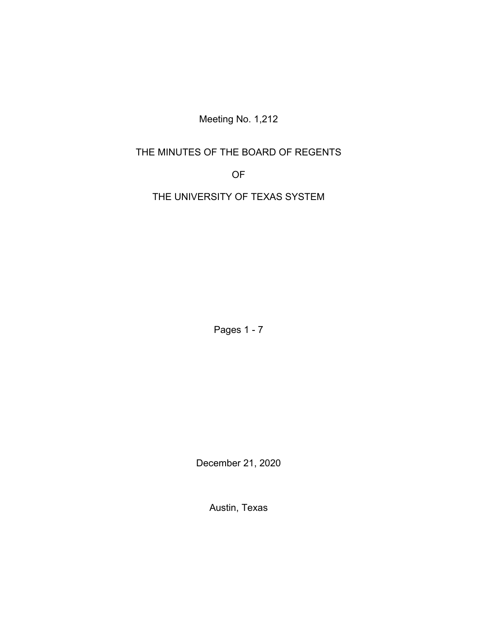Meeting No. 1,212

# THE MINUTES OF THE BOARD OF REGENTS

OF

THE UNIVERSITY OF TEXAS SYSTEM

Pages 1 - 7

December 21, 2020

Austin, Texas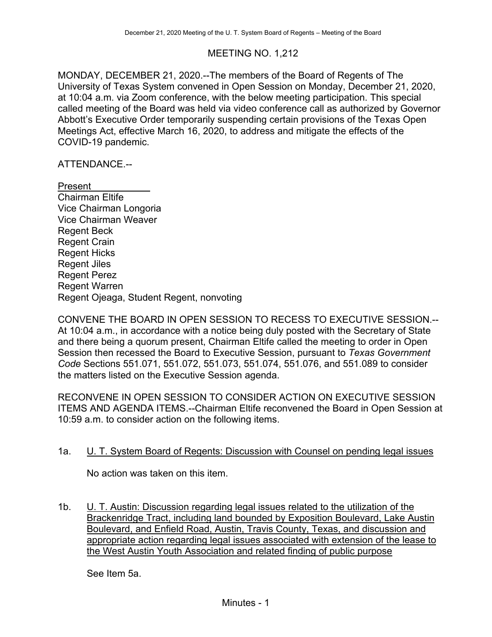## MEETING NO. 1,212

MONDAY, DECEMBER 21, 2020.--The members of the Board of Regents of The University of Texas System convened in Open Session on Monday, December 21, 2020, at 10:04 a.m. via Zoom conference, with the below meeting participation. This special called meeting of the Board was held via video conference call as authorized by Governor Abbott's Executive Order temporarily suspending certain provisions of the Texas Open Meetings Act, effective March 16, 2020, to address and mitigate the effects of the COVID-19 pandemic.

## ATTENDANCE.--

Present Chairman Eltife Vice Chairman Longoria Vice Chairman Weaver Regent Beck Regent Crain Regent Hicks Regent Jiles Regent Perez Regent Warren Regent Ojeaga, Student Regent, nonvoting

CONVENE THE BOARD IN OPEN SESSION TO RECESS TO EXECUTIVE SESSION.-- At 10:04 a.m., in accordance with a notice being duly posted with the Secretary of State and there being a quorum present, Chairman Eltife called the meeting to order in Open Session then recessed the Board to Executive Session, pursuant to *Texas Government Code* Sections 551.071, 551.072, 551.073, 551.074, 551.076, and 551.089 to consider the matters listed on the Executive Session agenda.

RECONVENE IN OPEN SESSION TO CONSIDER ACTION ON EXECUTIVE SESSION ITEMS AND AGENDA ITEMS.--Chairman Eltife reconvened the Board in Open Session at 10:59 a.m. to consider action on the following items.

## 1a. U. T. System Board of Regents: Discussion with Counsel on pending legal issues

No action was taken on this item.

1b. U. T. Austin: Discussion regarding legal issues related to the utilization of the Brackenridge Tract, including land bounded by Exposition Boulevard, Lake Austin Boulevard, and Enfield Road, Austin, Travis County, Texas, and discussion and appropriate action regarding legal issues associated with extension of the lease to the West Austin Youth Association and related finding of public purpose

See Item 5a.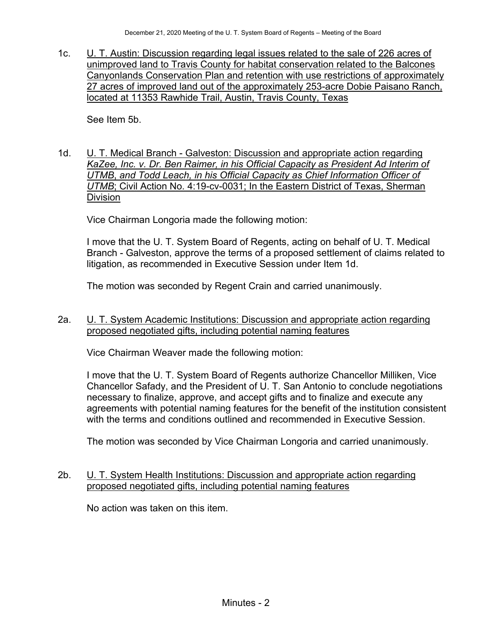1c. U. T. Austin: Discussion regarding legal issues related to the sale of 226 acres of unimproved land to Travis County for habitat conservation related to the Balcones Canyonlands Conservation Plan and retention with use restrictions of approximately 27 acres of improved land out of the approximately 253-acre Dobie Paisano Ranch, located at 11353 Rawhide Trail, Austin, Travis County, Texas

See Item 5b.

1d. U. T. Medical Branch - Galveston: Discussion and appropriate action regarding *KaZee, Inc. v. Dr. Ben Raimer, in his Official Capacity as President Ad Interim of UTMB*, *and Todd Leach, in his Official Capacity as Chief Information Officer of UTMB*; Civil Action No. 4:19-cv-0031; In the Eastern District of Texas, Sherman **Division** 

Vice Chairman Longoria made the following motion:

I move that the U. T. System Board of Regents, acting on behalf of U. T. Medical Branch - Galveston, approve the terms of a proposed settlement of claims related to litigation, as recommended in Executive Session under Item 1d.

The motion was seconded by Regent Crain and carried unanimously.

2a. U. T. System Academic Institutions: Discussion and appropriate action regarding proposed negotiated gifts, including potential naming features

Vice Chairman Weaver made the following motion:

I move that the U. T. System Board of Regents authorize Chancellor Milliken, Vice Chancellor Safady, and the President of U. T. San Antonio to conclude negotiations necessary to finalize, approve, and accept gifts and to finalize and execute any agreements with potential naming features for the benefit of the institution consistent with the terms and conditions outlined and recommended in Executive Session.

The motion was seconded by Vice Chairman Longoria and carried unanimously.

## 2b. U. T. System Health Institutions: Discussion and appropriate action regarding proposed negotiated gifts, including potential naming features

No action was taken on this item.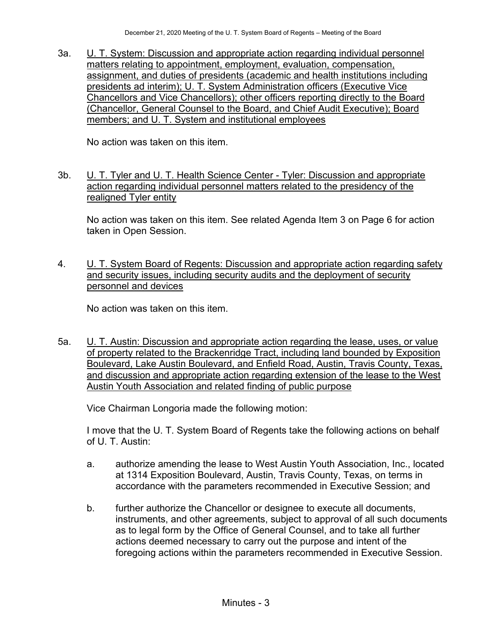3a. U. T. System: Discussion and appropriate action regarding individual personnel matters relating to appointment, employment, evaluation, compensation, assignment, and duties of presidents (academic and health institutions including presidents ad interim); U. T. System Administration officers (Executive Vice Chancellors and Vice Chancellors); other officers reporting directly to the Board (Chancellor, General Counsel to the Board, and Chief Audit Executive); Board members; and U. T. System and institutional employees

No action was taken on this item.

3b. U. T. Tyler and U. T. Health Science Center - Tyler: Discussion and appropriate action regarding individual personnel matters related to the presidency of the realigned Tyler entity

No action was taken on this item. See related Agenda Item 3 on Page 6 for action taken in Open Session.

4. U. T. System Board of Regents: Discussion and appropriate action regarding safety and security issues, including security audits and the deployment of security personnel and devices

No action was taken on this item.

5a. U. T. Austin: Discussion and appropriate action regarding the lease, uses, or value of property related to the Brackenridge Tract, including land bounded by Exposition Boulevard, Lake Austin Boulevard, and Enfield Road, Austin, Travis County, Texas, and discussion and appropriate action regarding extension of the lease to the West Austin Youth Association and related finding of public purpose

Vice Chairman Longoria made the following motion:

I move that the U. T. System Board of Regents take the following actions on behalf of U. T. Austin:

- a. authorize amending the lease to West Austin Youth Association, Inc., located at 1314 Exposition Boulevard, Austin, Travis County, Texas, on terms in accordance with the parameters recommended in Executive Session; and
- b. further authorize the Chancellor or designee to execute all documents, instruments, and other agreements, subject to approval of all such documents as to legal form by the Office of General Counsel, and to take all further actions deemed necessary to carry out the purpose and intent of the foregoing actions within the parameters recommended in Executive Session.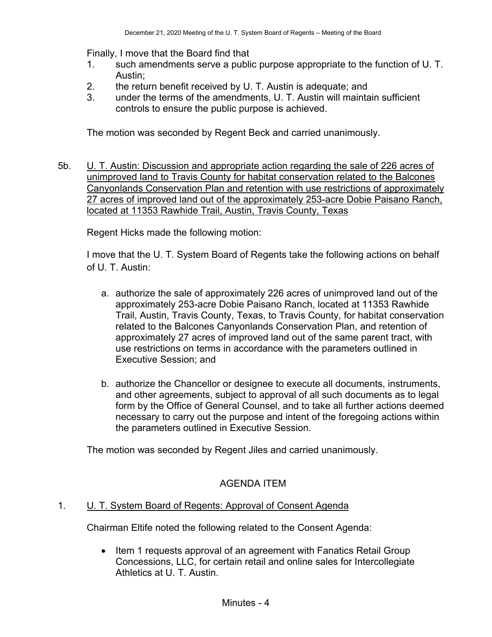Finally, I move that the Board find that

- 1. such amendments serve a public purpose appropriate to the function of U. T. Austin;
- 2. the return benefit received by U. T. Austin is adequate; and
- 3. under the terms of the amendments, U. T. Austin will maintain sufficient controls to ensure the public purpose is achieved.

The motion was seconded by Regent Beck and carried unanimously.

5b. U. T. Austin: Discussion and appropriate action regarding the sale of 226 acres of unimproved land to Travis County for habitat conservation related to the Balcones Canyonlands Conservation Plan and retention with use restrictions of approximately 27 acres of improved land out of the approximately 253-acre Dobie Paisano Ranch, located at 11353 Rawhide Trail, Austin, Travis County, Texas

Regent Hicks made the following motion:

I move that the U. T. System Board of Regents take the following actions on behalf of U. T. Austin:

- a. authorize the sale of approximately 226 acres of unimproved land out of the approximately 253-acre Dobie Paisano Ranch, located at 11353 Rawhide Trail, Austin, Travis County, Texas, to Travis County, for habitat conservation related to the Balcones Canyonlands Conservation Plan, and retention of approximately 27 acres of improved land out of the same parent tract, with use restrictions on terms in accordance with the parameters outlined in Executive Session; and
- b. authorize the Chancellor or designee to execute all documents, instruments, and other agreements, subject to approval of all such documents as to legal form by the Office of General Counsel, and to take all further actions deemed necessary to carry out the purpose and intent of the foregoing actions within the parameters outlined in Executive Session.

The motion was seconded by Regent Jiles and carried unanimously.

# AGENDA ITEM

## 1. U. T. System Board of Regents: Approval of Consent Agenda

Chairman Eltife noted the following related to the Consent Agenda:

• Item 1 requests approval of an agreement with Fanatics Retail Group Concessions, LLC, for certain retail and online sales for Intercollegiate Athletics at U. T. Austin.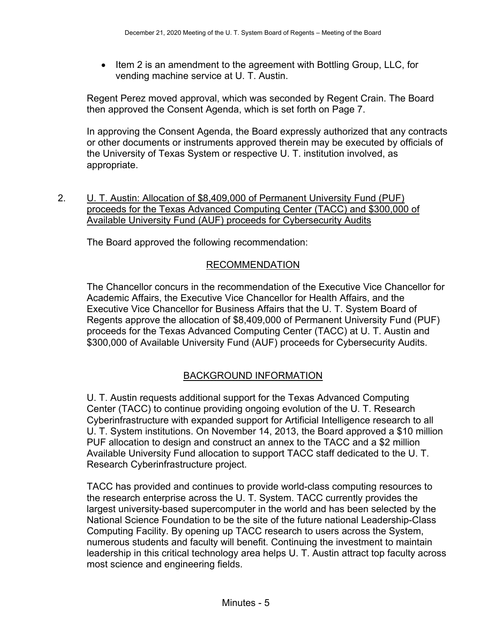• Item 2 is an amendment to the agreement with Bottling Group, LLC, for vending machine service at U. T. Austin.

Regent Perez moved approval, which was seconded by Regent Crain. The Board then approved the Consent Agenda, which is set forth on Page 7.

In approving the Consent Agenda, the Board expressly authorized that any contracts or other documents or instruments approved therein may be executed by officials of the University of Texas System or respective U. T. institution involved, as appropriate.

2. **U. T. Austin: Allocation of \$8,409,000 of Permanent University Fund (PUF)** proceeds for the Texas Advanced Computing Center (TACC) and \$300,000 of Available University Fund (AUF) proceeds for Cybersecurity Audits

The Board approved the following recommendation:

## RECOMMENDATION

The Chancellor concurs in the recommendation of the Executive Vice Chancellor for Academic Affairs, the Executive Vice Chancellor for Health Affairs, and the Executive Vice Chancellor for Business Affairs that the U. T. System Board of Regents approve the allocation of \$8,409,000 of Permanent University Fund (PUF) proceeds for the Texas Advanced Computing Center (TACC) at U. T. Austin and \$300,000 of Available University Fund (AUF) proceeds for Cybersecurity Audits.

# BACKGROUND INFORMATION

U. T. Austin requests additional support for the Texas Advanced Computing Center (TACC) to continue providing ongoing evolution of the U. T. Research Cyberinfrastructure with expanded support for Artificial Intelligence research to all U. T. System institutions. On November 14, 2013, the Board approved a \$10 million PUF allocation to design and construct an annex to the TACC and a \$2 million Available University Fund allocation to support TACC staff dedicated to the U. T. Research Cyberinfrastructure project.

TACC has provided and continues to provide world-class computing resources to the research enterprise across the U. T. System. TACC currently provides the largest university-based supercomputer in the world and has been selected by the National Science Foundation to be the site of the future national Leadership-Class Computing Facility. By opening up TACC research to users across the System, numerous students and faculty will benefit. Continuing the investment to maintain leadership in this critical technology area helps U. T. Austin attract top faculty across most science and engineering fields.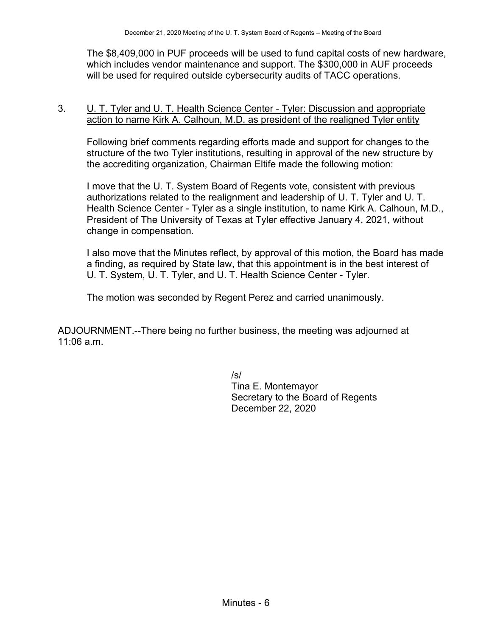The \$8,409,000 in PUF proceeds will be used to fund capital costs of new hardware, which includes vendor maintenance and support. The \$300,000 in AUF proceeds will be used for required outside cybersecurity audits of TACC operations.

## 3. U. T. Tyler and U. T. Health Science Center - Tyler: Discussion and appropriate action to name Kirk A. Calhoun, M.D. as president of the realigned Tyler entity

Following brief comments regarding efforts made and support for changes to the structure of the two Tyler institutions, resulting in approval of the new structure by the accrediting organization, Chairman Eltife made the following motion:

I move that the U. T. System Board of Regents vote, consistent with previous authorizations related to the realignment and leadership of U. T. Tyler and U. T. Health Science Center - Tyler as a single institution, to name Kirk A. Calhoun, M.D., President of The University of Texas at Tyler effective January 4, 2021, without change in compensation.

I also move that the Minutes reflect, by approval of this motion, the Board has made a finding, as required by State law, that this appointment is in the best interest of U. T. System, U. T. Tyler, and U. T. Health Science Center - Tyler.

The motion was seconded by Regent Perez and carried unanimously.

ADJOURNMENT.--There being no further business, the meeting was adjourned at 11:06 a.m.

/s/

Tina E. Montemayor Secretary to the Board of Regents December 22, 2020